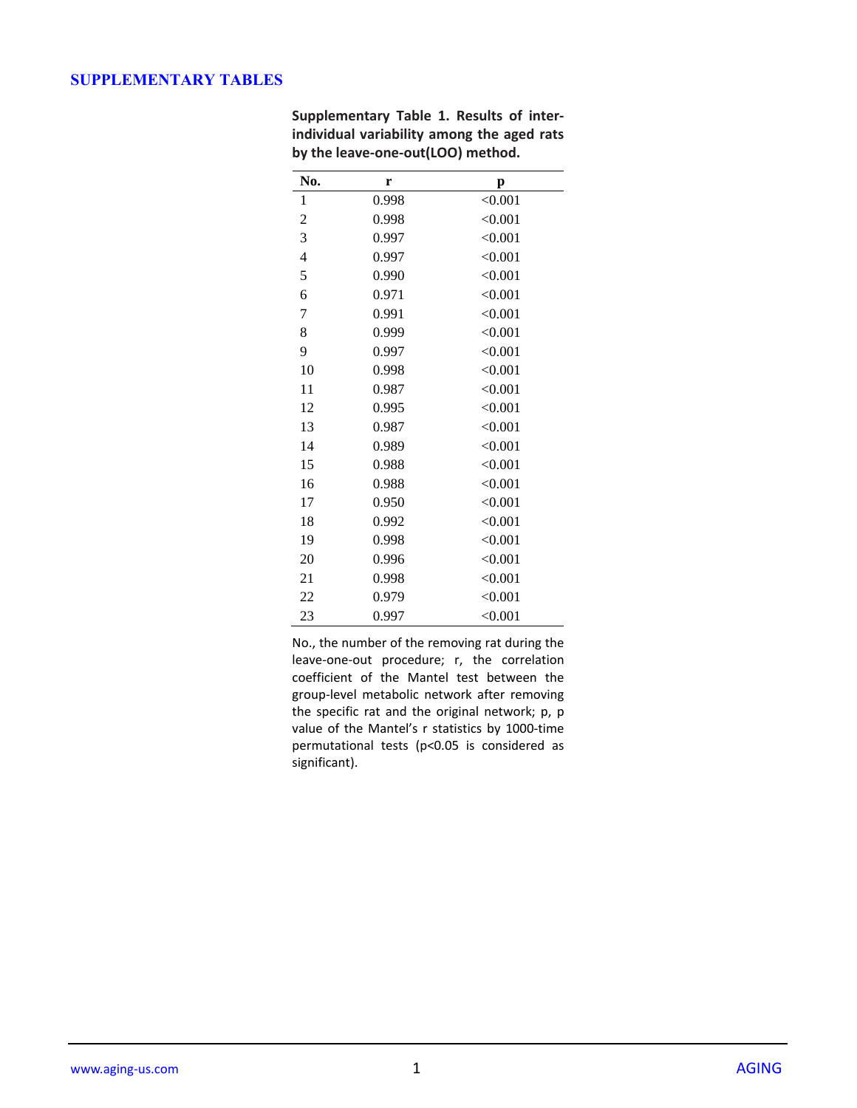## **SUPPLEMENTARY TABLES**

| No.            | r     | p       |
|----------------|-------|---------|
| 1              | 0.998 | < 0.001 |
| $\overline{c}$ | 0.998 | < 0.001 |
| 3              | 0.997 | < 0.001 |
| $\overline{4}$ | 0.997 | < 0.001 |
| 5              | 0.990 | < 0.001 |
| 6              | 0.971 | < 0.001 |
| 7              | 0.991 | < 0.001 |
| 8              | 0.999 | < 0.001 |
| 9              | 0.997 | < 0.001 |
| 10             | 0.998 | < 0.001 |
| 11             | 0.987 | < 0.001 |
| 12             | 0.995 | < 0.001 |
| 13             | 0.987 | < 0.001 |
| 14             | 0.989 | < 0.001 |
| 15             | 0.988 | < 0.001 |
| 16             | 0.988 | < 0.001 |
| 17             | 0.950 | < 0.001 |
| 18             | 0.992 | < 0.001 |
| 19             | 0.998 | < 0.001 |
| 20             | 0.996 | < 0.001 |
| 21             | 0.998 | < 0.001 |
| 22             | 0.979 | < 0.001 |
| 23             | 0.997 | < 0.001 |

**Supplementary Table 1. Results of interindividual variability among the aged rats by the leave-one-out(LOO) method.**

No., the number of the removing rat during the leave-one-out procedure; r, the correlation coefficient of the Mantel test between the group-level metabolic network after removing the specific rat and the original network; p, p value of the Mantel's r statistics by 1000-time permutational tests (p<0.05 is considered as significant).